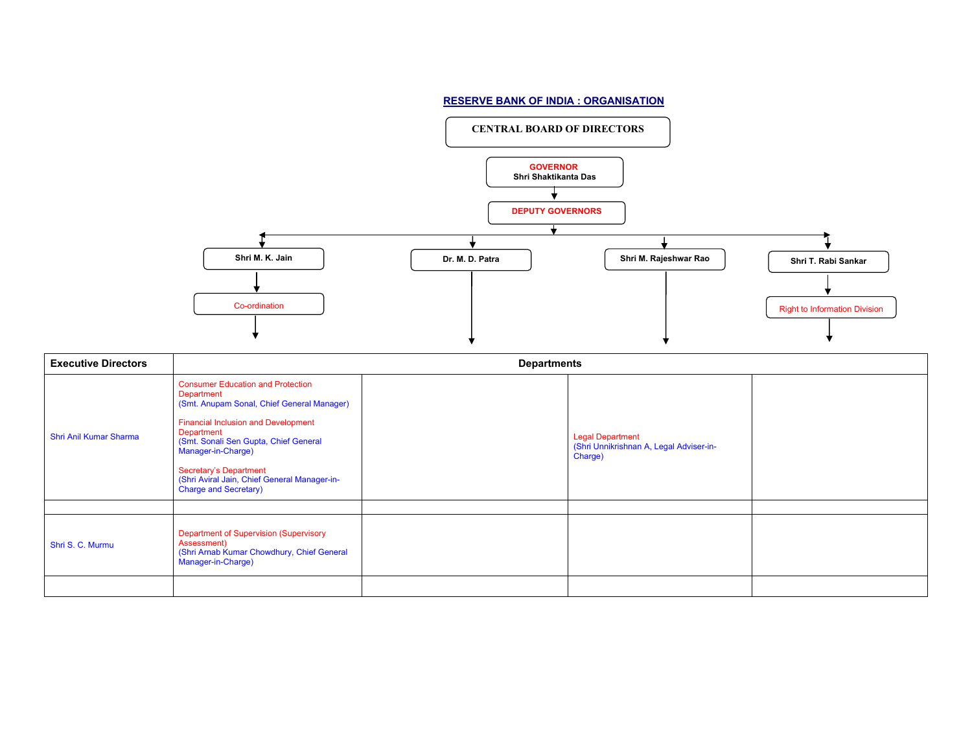## **RESERVE BANK OF INDIA : ORGANISATION**

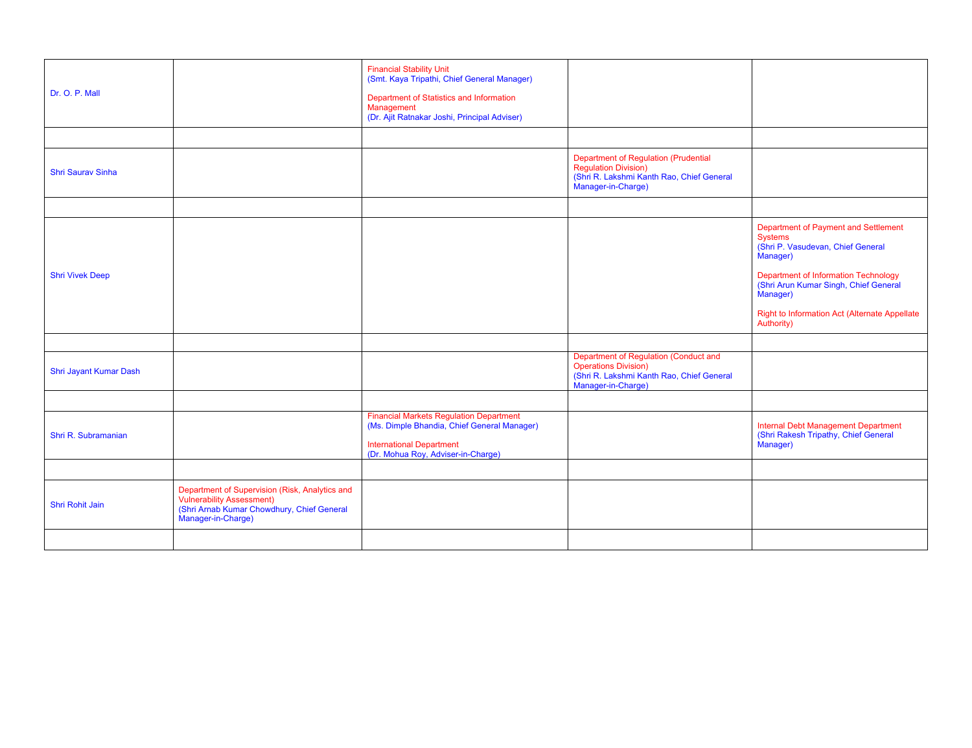| Dr. O. P. Mall           |                                                                                                                                                 | <b>Financial Stability Unit</b><br>(Smt. Kaya Tripathi, Chief General Manager)<br>Department of Statistics and Information<br>Management<br>(Dr. Ajit Ratnakar Joshi, Principal Adviser) |                                                                                                                                  |                                                                                                                                                                                                                                                                     |
|--------------------------|-------------------------------------------------------------------------------------------------------------------------------------------------|------------------------------------------------------------------------------------------------------------------------------------------------------------------------------------------|----------------------------------------------------------------------------------------------------------------------------------|---------------------------------------------------------------------------------------------------------------------------------------------------------------------------------------------------------------------------------------------------------------------|
|                          |                                                                                                                                                 |                                                                                                                                                                                          |                                                                                                                                  |                                                                                                                                                                                                                                                                     |
| <b>Shri Saurav Sinha</b> |                                                                                                                                                 |                                                                                                                                                                                          | Department of Regulation (Prudential<br>Regulation Division)<br>(Shri R. Lakshmi Kanth Rao, Chief General<br>Manager-in-Charge)  |                                                                                                                                                                                                                                                                     |
|                          |                                                                                                                                                 |                                                                                                                                                                                          |                                                                                                                                  |                                                                                                                                                                                                                                                                     |
| <b>Shri Vivek Deep</b>   |                                                                                                                                                 |                                                                                                                                                                                          |                                                                                                                                  | Department of Payment and Settlement<br>Systems<br>(Shri P. Vasudevan, Chief General<br>Manager)<br><b>Department of Information Technology</b><br>(Shri Arun Kumar Singh, Chief General<br>Manager)<br>Right to Information Act (Alternate Appellate<br>Authority) |
|                          |                                                                                                                                                 |                                                                                                                                                                                          |                                                                                                                                  |                                                                                                                                                                                                                                                                     |
| Shri Jayant Kumar Dash   |                                                                                                                                                 |                                                                                                                                                                                          | Department of Regulation (Conduct and<br>Operations Division)<br>(Shri R. Lakshmi Kanth Rao, Chief General<br>Manager-in-Charge) |                                                                                                                                                                                                                                                                     |
|                          |                                                                                                                                                 |                                                                                                                                                                                          |                                                                                                                                  |                                                                                                                                                                                                                                                                     |
| Shri R. Subramanian      |                                                                                                                                                 | <b>Financial Markets Regulation Department</b><br>(Ms. Dimple Bhandia, Chief General Manager)<br><b>International Department</b><br>(Dr. Mohua Roy, Adviser-in-Charge)                   |                                                                                                                                  | <b>Internal Debt Management Department</b><br>(Shri Rakesh Tripathy, Chief General<br>Manager)                                                                                                                                                                      |
|                          |                                                                                                                                                 |                                                                                                                                                                                          |                                                                                                                                  |                                                                                                                                                                                                                                                                     |
| Shri Rohit Jain          | Department of Supervision (Risk, Analytics and<br>Vulnerability Assessment)<br>(Shri Arnab Kumar Chowdhury, Chief General<br>Manager-in-Charge) |                                                                                                                                                                                          |                                                                                                                                  |                                                                                                                                                                                                                                                                     |
|                          |                                                                                                                                                 |                                                                                                                                                                                          |                                                                                                                                  |                                                                                                                                                                                                                                                                     |